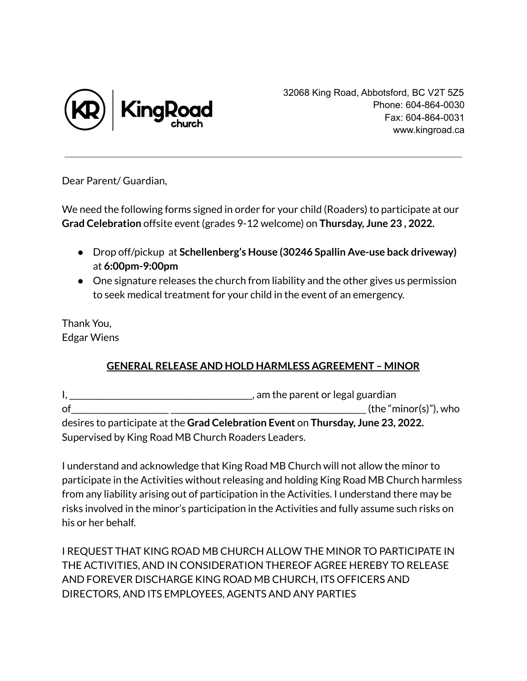

32068 King Road, Abbotsford, BC V2T 5Z5 Phone: 604-864-0030 Fax: 604-864-0031 www.kingroad.ca

Dear Parent/ Guardian,

We need the following forms signed in order for your child (Roaders) to participate at our **Grad Celebration** offsite event (grades 9-12 welcome) on **Thursday, June 23 , 2022.**

- Drop off/pickup at **Schellenberg's House (30246 Spallin Ave-use back driveway)** at **6:00pm-9:00pm**
- One signature releases the church from liability and the other gives us permission to seek medical treatment for your child in the event of an emergency.

Thank You, Edgar Wiens

## **GENERAL RELEASE AND HOLD HARMLESS AGREEMENT – MINOR**

|                                                    | , am the parent or legal guardian                                                |  |  |
|----------------------------------------------------|----------------------------------------------------------------------------------|--|--|
| of                                                 | (the "minor(s)"), who                                                            |  |  |
|                                                    | desires to participate at the Grad Celebration Event on Thursday, June 23, 2022. |  |  |
| Supervised by King Road MB Church Roaders Leaders. |                                                                                  |  |  |

I understand and acknowledge that King Road MB Church will not allow the minor to participate in the Activities without releasing and holding King Road MB Church harmless from any liability arising out of participation in the Activities. I understand there may be risks involved in the minor's participation in the Activities and fully assume such risks on his or her behalf.

I REQUEST THAT KING ROAD MB CHURCH ALLOW THE MINOR TO PARTICIPATE IN THE ACTIVITIES, AND IN CONSIDERATION THEREOF AGREE HEREBY TO RELEASE AND FOREVER DISCHARGE KING ROAD MB CHURCH, ITS OFFICERS AND DIRECTORS, AND ITS EMPLOYEES, AGENTS AND ANY PARTIES